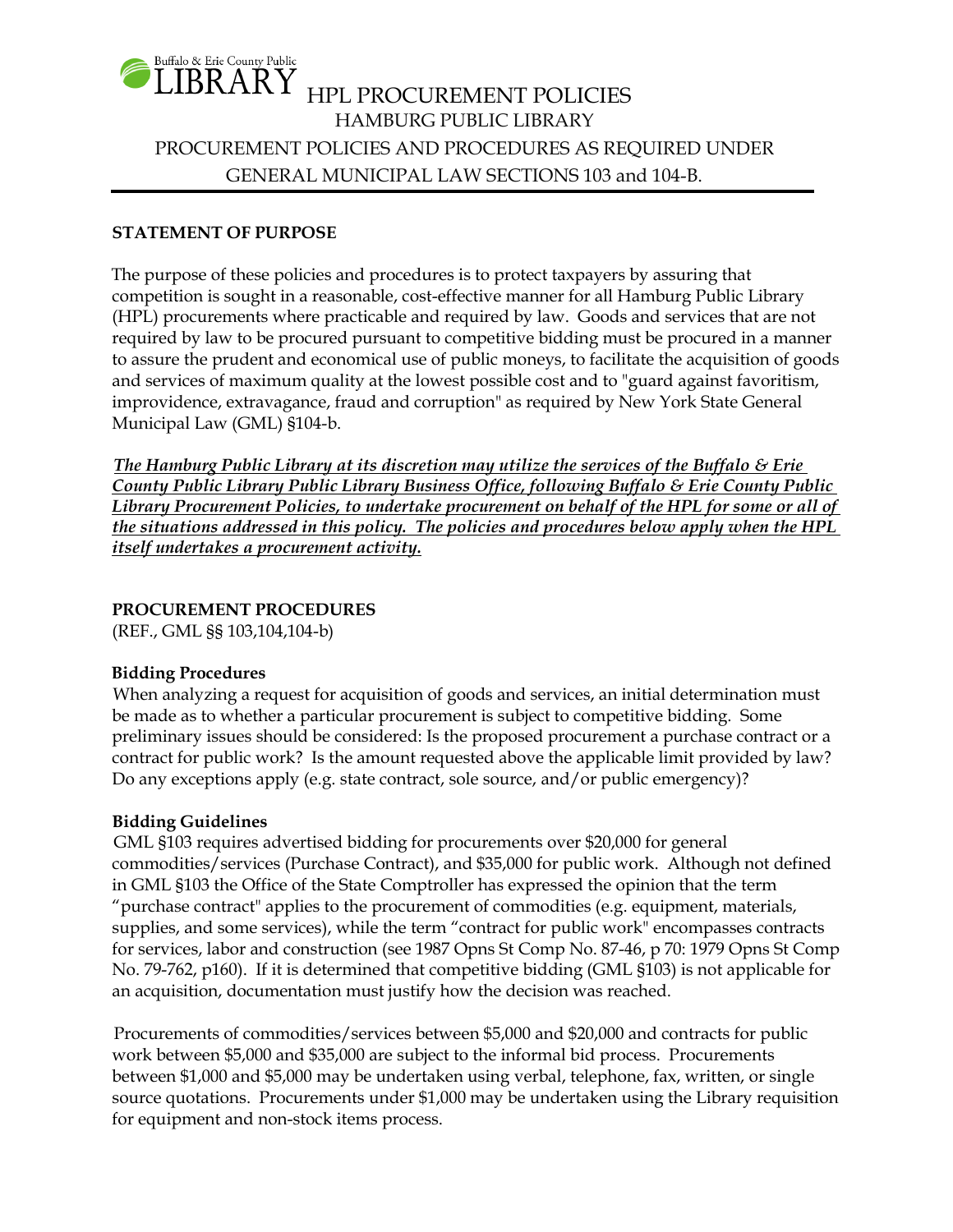

## **STATEMENT OF PURPOSE**

The purpose of these policies and procedures is to protect taxpayers by assuring that competition is sought in a reasonable, cost-effective manner for all Hamburg Public Library (HPL) procurements where practicable and required by law. Goods and services that are not required by law to be procured pursuant to competitive bidding must be procured in a manner to assure the prudent and economical use of public moneys, to facilitate the acquisition of goods and services of maximum quality at the lowest possible cost and to "guard against favoritism, improvidence, extravagance, fraud and corruption" as required by New York State General Municipal Law (GML) §104-b.

*The Hamburg Public Library at its discretion may utilize the services of the Buffalo & Erie County Public Library Public Library Business Office, following Buffalo & Erie County Public Library Procurement Policies, to undertake procurement on behalf of the HPL for some or all of the situations addressed in this policy. The policies and procedures below apply when the HPL itself undertakes a procurement activity.*

#### **PROCUREMENT PROCEDURES**

(REF., GML §§ 103,104,104-b)

#### **Bidding Procedures**

When analyzing a request for acquisition of goods and services, an initial determination must be made as to whether a particular procurement is subject to competitive bidding. Some preliminary issues should be considered: Is the proposed procurement a purchase contract or a contract for public work? Is the amount requested above the applicable limit provided by law? Do any exceptions apply (e.g. state contract, sole source, and/or public emergency)?

# **Bidding Guidelines**

GML §103 requires advertised bidding for procurements over \$20,000 for general commodities/services (Purchase Contract), and \$35,000 for public work. Although not defined in GML §103 the Office of the State Comptroller has expressed the opinion that the term "purchase contract" applies to the procurement of commodities (e.g. equipment, materials, supplies, and some services), while the term "contract for public work" encompasses contracts for services, labor and construction (see 1987 Opns St Comp No. 87-46, p 70: 1979 Opns St Comp No. 79-762, p160). If it is determined that competitive bidding (GML §103) is not applicable for an acquisition, documentation must justify how the decision was reached.

Procurements of commodities/services between \$5,000 and \$20,000 and contracts for public work between \$5,000 and \$35,000 are subject to the informal bid process. Procurements between \$1,000 and \$5,000 may be undertaken using verbal, telephone, fax, written, or single source quotations. Procurements under \$1,000 may be undertaken using the Library requisition for equipment and non-stock items process.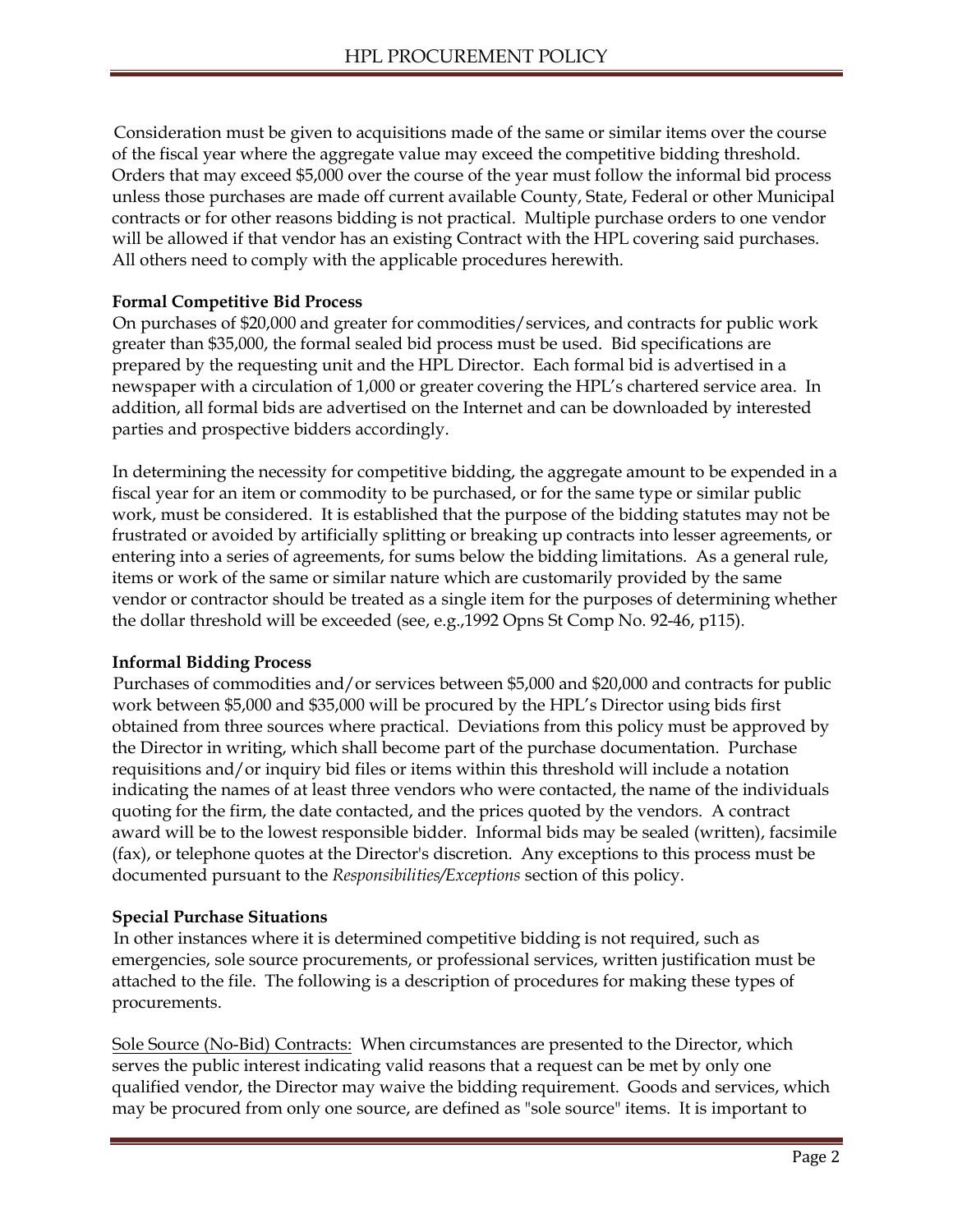Consideration must be given to acquisitions made of the same or similar items over the course of the fiscal year where the aggregate value may exceed the competitive bidding threshold. Orders that may exceed \$5,000 over the course of the year must follow the informal bid process unless those purchases are made off current available County, State, Federal or other Municipal contracts or for other reasons bidding is not practical. Multiple purchase orders to one vendor will be allowed if that vendor has an existing Contract with the HPL covering said purchases. All others need to comply with the applicable procedures herewith.

# **Formal Competitive Bid Process**

On purchases of \$20,000 and greater for commodities/services, and contracts for public work greater than \$35,000, the formal sealed bid process must be used. Bid specifications are prepared by the requesting unit and the HPL Director. Each formal bid is advertised in a newspaper with a circulation of 1,000 or greater covering the HPL's chartered service area. In addition, all formal bids are advertised on the Internet and can be downloaded by interested parties and prospective bidders accordingly.

In determining the necessity for competitive bidding, the aggregate amount to be expended in a fiscal year for an item or commodity to be purchased, or for the same type or similar public work, must be considered. It is established that the purpose of the bidding statutes may not be frustrated or avoided by artificially splitting or breaking up contracts into lesser agreements, or entering into a series of agreements, for sums below the bidding limitations. As a general rule, items or work of the same or similar nature which are customarily provided by the same vendor or contractor should be treated as a single item for the purposes of determining whether the dollar threshold will be exceeded (see, e.g.,1992 Opns St Comp No. 92-46, p115).

#### **Informal Bidding Process**

Purchases of commodities and/or services between \$5,000 and \$20,000 and contracts for public work between \$5,000 and \$35,000 will be procured by the HPL's Director using bids first obtained from three sources where practical. Deviations from this policy must be approved by the Director in writing, which shall become part of the purchase documentation. Purchase requisitions and/or inquiry bid files or items within this threshold will include a notation indicating the names of at least three vendors who were contacted, the name of the individuals quoting for the firm, the date contacted, and the prices quoted by the vendors. A contract award will be to the lowest responsible bidder. Informal bids may be sealed (written), facsimile (fax), or telephone quotes at the Director's discretion. Any exceptions to this process must be documented pursuant to the *Responsibilities/Exceptions* section of this policy.

#### **Special Purchase Situations**

In other instances where it is determined competitive bidding is not required, such as emergencies, sole source procurements, or professional services, written justification must be attached to the file. The following is a description of procedures for making these types of procurements.

Sole Source (No-Bid) Contracts: When circumstances are presented to the Director, which serves the public interest indicating valid reasons that a request can be met by only one qualified vendor, the Director may waive the bidding requirement. Goods and services, which may be procured from only one source, are defined as "sole source" items. It is important to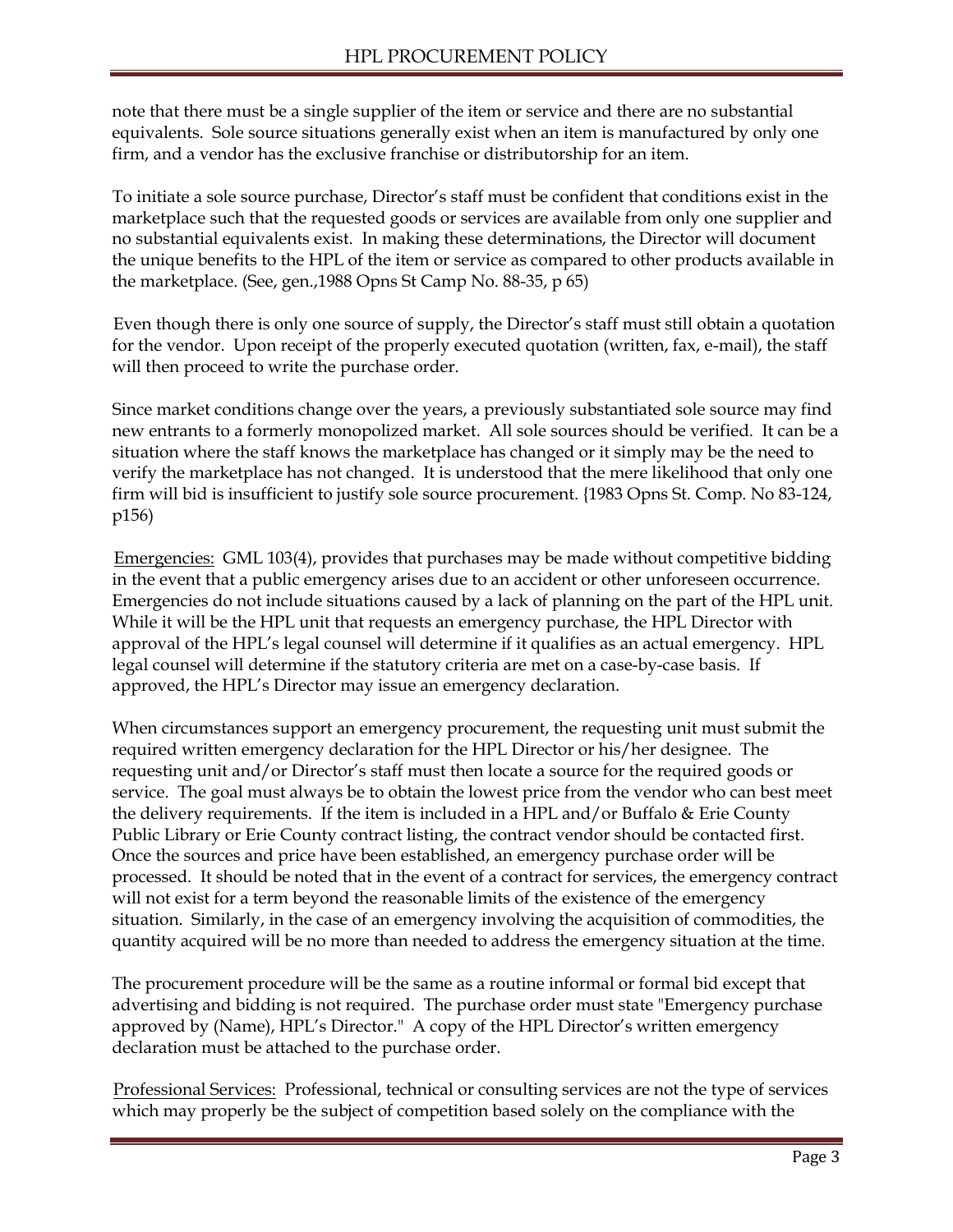note that there must be a single supplier of the item or service and there are no substantial equivalents. Sole source situations generally exist when an item is manufactured by only one firm, and a vendor has the exclusive franchise or distributorship for an item.

To initiate a sole source purchase, Director's staff must be confident that conditions exist in the marketplace such that the requested goods or services are available from only one supplier and no substantial equivalents exist. In making these determinations, the Director will document the unique benefits to the HPL of the item or service as compared to other products available in the marketplace. (See, gen.,1988 Opns St Camp No. 88-35, p 65)

Even though there is only one source of supply, the Director's staff must still obtain a quotation for the vendor. Upon receipt of the properly executed quotation (written, fax, e-mail), the staff will then proceed to write the purchase order.

Since market conditions change over the years, a previously substantiated sole source may find new entrants to a formerly monopolized market. All sole sources should be verified. It can be a situation where the staff knows the marketplace has changed or it simply may be the need to verify the marketplace has not changed. It is understood that the mere likelihood that only one firm will bid is insufficient to justify sole source procurement. {1983 Opns St. Comp. No 83-124, p156)

Emergencies: GML 103(4), provides that purchases may be made without competitive bidding in the event that a public emergency arises due to an accident or other unforeseen occurrence. Emergencies do not include situations caused by a lack of planning on the part of the HPL unit. While it will be the HPL unit that requests an emergency purchase, the HPL Director with approval of the HPL's legal counsel will determine if it qualifies as an actual emergency. HPL legal counsel will determine if the statutory criteria are met on a case-by-case basis. If approved, the HPL's Director may issue an emergency declaration.

When circumstances support an emergency procurement, the requesting unit must submit the required written emergency declaration for the HPL Director or his/her designee. The requesting unit and/or Director's staff must then locate a source for the required goods or service. The goal must always be to obtain the lowest price from the vendor who can best meet the delivery requirements. If the item is included in a HPL and/or Buffalo & Erie County Public Library or Erie County contract listing, the contract vendor should be contacted first. Once the sources and price have been established, an emergency purchase order will be processed. It should be noted that in the event of a contract for services, the emergency contract will not exist for a term beyond the reasonable limits of the existence of the emergency situation. Similarly, in the case of an emergency involving the acquisition of commodities, the quantity acquired will be no more than needed to address the emergency situation at the time.

The procurement procedure will be the same as a routine informal or formal bid except that advertising and bidding is not required. The purchase order must state "Emergency purchase approved by (Name), HPL's Director." A copy of the HPL Director's written emergency declaration must be attached to the purchase order.

Professional Services: Professional, technical or consulting services are not the type of services which may properly be the subject of competition based solely on the compliance with the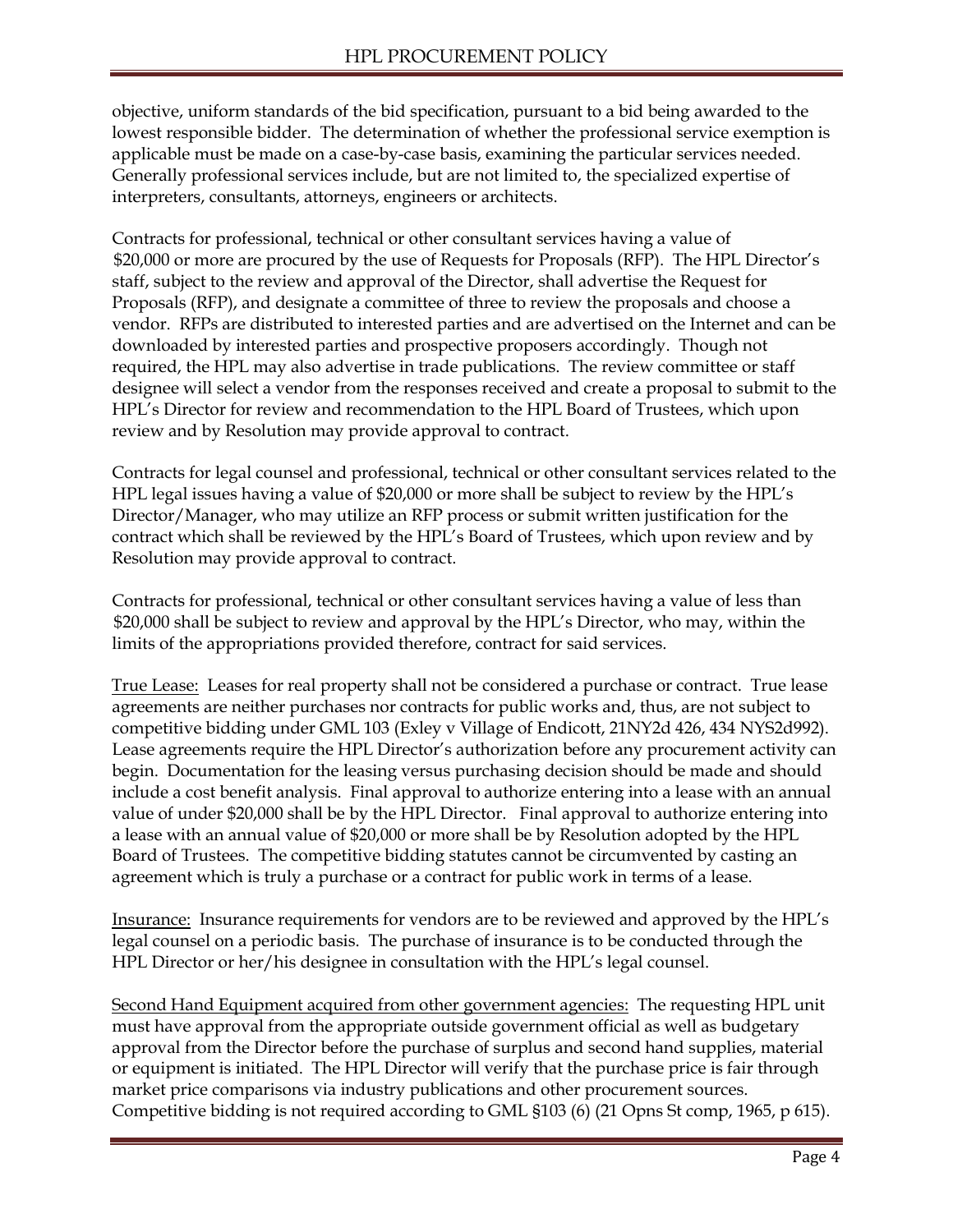objective, uniform standards of the bid specification, pursuant to a bid being awarded to the lowest responsible bidder. The determination of whether the professional service exemption is applicable must be made on a case-by-case basis, examining the particular services needed. Generally professional services include, but are not limited to, the specialized expertise of interpreters, consultants, attorneys, engineers or architects.

Contracts for professional, technical or other consultant services having a value of \$20,000 or more are procured by the use of Requests for Proposals (RFP). The HPL Director's staff, subject to the review and approval of the Director, shall advertise the Request for Proposals (RFP), and designate a committee of three to review the proposals and choose a vendor. RFPs are distributed to interested parties and are advertised on the Internet and can be downloaded by interested parties and prospective proposers accordingly. Though not required, the HPL may also advertise in trade publications. The review committee or staff designee will select a vendor from the responses received and create a proposal to submit to the HPL's Director for review and recommendation to the HPL Board of Trustees, which upon review and by Resolution may provide approval to contract.

Contracts for legal counsel and professional, technical or other consultant services related to the HPL legal issues having a value of \$20,000 or more shall be subject to review by the HPL's Director/Manager, who may utilize an RFP process or submit written justification for the contract which shall be reviewed by the HPL's Board of Trustees, which upon review and by Resolution may provide approval to contract.

Contracts for professional, technical or other consultant services having a value of less than \$20,000 shall be subject to review and approval by the HPL's Director, who may, within the limits of the appropriations provided therefore, contract for said services.

True Lease: Leases for real property shall not be considered a purchase or contract. True lease agreements are neither purchases nor contracts for public works and, thus, are not subject to competitive bidding under GML 103 (Exley v Village of Endicott, 21NY2d 426, 434 NYS2d992). Lease agreements require the HPL Director's authorization before any procurement activity can begin. Documentation for the leasing versus purchasing decision should be made and should include a cost benefit analysis. Final approval to authorize entering into a lease with an annual value of under \$20,000 shall be by the HPL Director. Final approval to authorize entering into a lease with an annual value of \$20,000 or more shall be by Resolution adopted by the HPL Board of Trustees. The competitive bidding statutes cannot be circumvented by casting an agreement which is truly a purchase or a contract for public work in terms of a lease.

Insurance: Insurance requirements for vendors are to be reviewed and approved by the HPL's legal counsel on a periodic basis. The purchase of insurance is to be conducted through the HPL Director or her/his designee in consultation with the HPL's legal counsel.

Second Hand Equipment acquired from other government agencies: The requesting HPL unit must have approval from the appropriate outside government official as well as budgetary approval from the Director before the purchase of surplus and second hand supplies, material or equipment is initiated. The HPL Director will verify that the purchase price is fair through market price comparisons via industry publications and other procurement sources. Competitive bidding is not required according to GML §103 (6) (21 Opns St comp, 1965, p 615).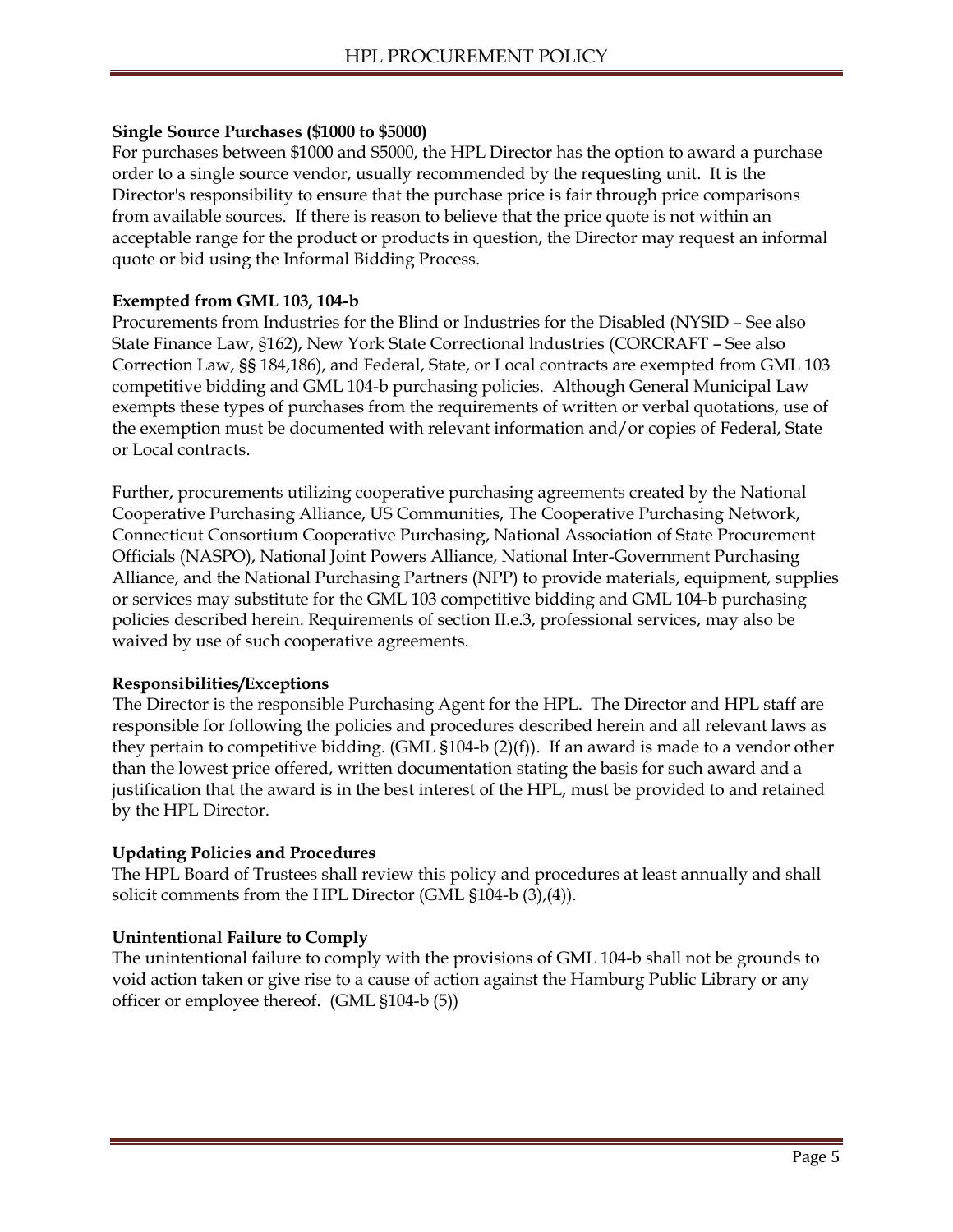#### **Single Source Purchases (\$1000 to \$5000)**

For purchases between \$1000 and \$5000, the HPL Director has the option to award a purchase order to a single source vendor, usually recommended by the requesting unit. It is the Director's responsibility to ensure that the purchase price is fair through price comparisons from available sources. If there is reason to believe that the price quote is not within an acceptable range for the product or products in question, the Director may request an informal quote or bid using the Informal Bidding Process.

#### **Exempted from GML 103, 104-b**

Procurements from Industries for the Blind or Industries for the Disabled (NYSID – See also State Finance Law, §162), New York State Correctional lndustries (CORCRAFT – See also Correction Law, §§ 184,186), and Federal, State, or Local contracts are exempted from GML 103 competitive bidding and GML 104-b purchasing policies. Although General Municipal Law exempts these types of purchases from the requirements of written or verbal quotations, use of the exemption must be documented with relevant information and/or copies of Federal, State or Local contracts.

Further, procurements utilizing cooperative purchasing agreements created by the National Cooperative Purchasing Alliance, US Communities, The Cooperative Purchasing Network, Connecticut Consortium Cooperative Purchasing, National Association of State Procurement Officials (NASPO), National Joint Powers Alliance, National Inter-Government Purchasing Alliance, and the National Purchasing Partners (NPP) to provide materials, equipment, supplies or services may substitute for the GML 103 competitive bidding and GML 104-b purchasing policies described herein. Requirements of section II.e.3, professional services, may also be waived by use of such cooperative agreements.

#### **Responsibilities/Exceptions**

The Director is the responsible Purchasing Agent for the HPL. The Director and HPL staff are responsible for following the policies and procedures described herein and all relevant laws as they pertain to competitive bidding. (GML  $$104-b (2)(f)$ ). If an award is made to a vendor other than the lowest price offered, written documentation stating the basis for such award and a justification that the award is in the best interest of the HPL, must be provided to and retained by the HPL Director.

#### **Updating Policies and Procedures**

The HPL Board of Trustees shall review this policy and procedures at least annually and shall solicit comments from the HPL Director (GML §104-b (3),(4)).

#### **Unintentional Failure to Comply**

The unintentional failure to comply with the provisions of GML 104-b shall not be grounds to void action taken or give rise to a cause of action against the Hamburg Public Library or any officer or employee thereof. (GML §104-b (5))